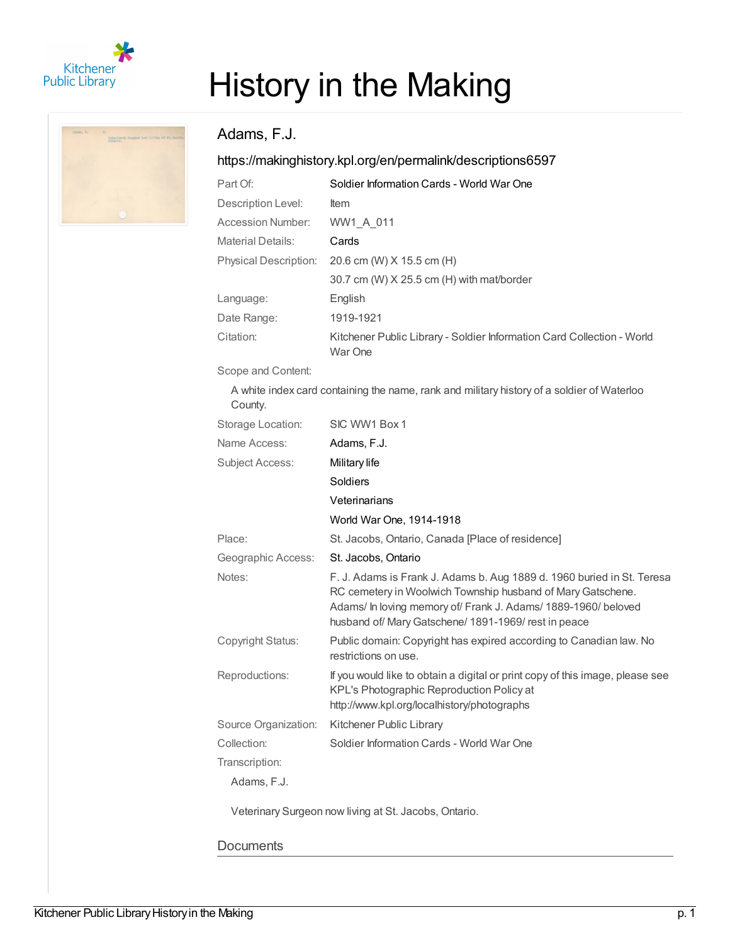

# History in the Making

## Adams, F.J.

### <https://makinghistory.kpl.org/en/permalink/descriptions6597>

| Part Of:                     | Soldier Information Cards - World War One                                         |
|------------------------------|-----------------------------------------------------------------------------------|
| Description Level:           | <b>Item</b>                                                                       |
| Accession Number:            | WW1 A 011                                                                         |
| Material Details:            | Cards                                                                             |
| <b>Physical Description:</b> | 20.6 cm (W) X 15.5 cm (H)                                                         |
|                              | $30.7$ cm (W) $X$ 25.5 cm (H) with mat/border                                     |
| Language:                    | English                                                                           |
| Date Range:                  | 1919-1921                                                                         |
| Citation:                    | Kitchener Public Library - Soldier Information Card Collection - World<br>War One |

Scope and Content:

A white index card containing the name, rank and military history of a soldier of Waterloo County.

| Storage Location:      | SIC WW1 Box 1                                                                                                                                                                                                                                                   |
|------------------------|-----------------------------------------------------------------------------------------------------------------------------------------------------------------------------------------------------------------------------------------------------------------|
| Name Access:           | Adams, F.J.                                                                                                                                                                                                                                                     |
| <b>Subject Access:</b> | Military life                                                                                                                                                                                                                                                   |
|                        | Soldiers                                                                                                                                                                                                                                                        |
|                        | Veterinarians                                                                                                                                                                                                                                                   |
|                        | World War One, 1914-1918                                                                                                                                                                                                                                        |
| Place:                 | St. Jacobs, Ontario, Canada [Place of residence]                                                                                                                                                                                                                |
| Geographic Access:     | St. Jacobs, Ontario                                                                                                                                                                                                                                             |
| Notes:                 | F. J. Adams is Frank J. Adams b. Aug 1889 d. 1960 buried in St. Teresa<br>RC cemetery in Woolwich Township husband of Mary Gatschene.<br>Adams/ In loving memory of/ Frank J. Adams/ 1889-1960/ beloved<br>husband of/ Mary Gatschene/ 1891-1969/ rest in peace |
| Copyright Status:      | Public domain: Copyright has expired according to Canadian law. No<br>restrictions on use.                                                                                                                                                                      |
| Reproductions:         | If you would like to obtain a digital or print copy of this image, please see<br>KPL's Photographic Reproduction Policy at<br>http://www.kpl.org/localhistory/photographs                                                                                       |
| Source Organization:   | Kitchener Public Library                                                                                                                                                                                                                                        |
| Collection:            | Soldier Information Cards - World War One                                                                                                                                                                                                                       |
| Transcription:         |                                                                                                                                                                                                                                                                 |
| Adams, F.J.            |                                                                                                                                                                                                                                                                 |

Veterinary Surgeon now living at St. Jacobs, Ontario.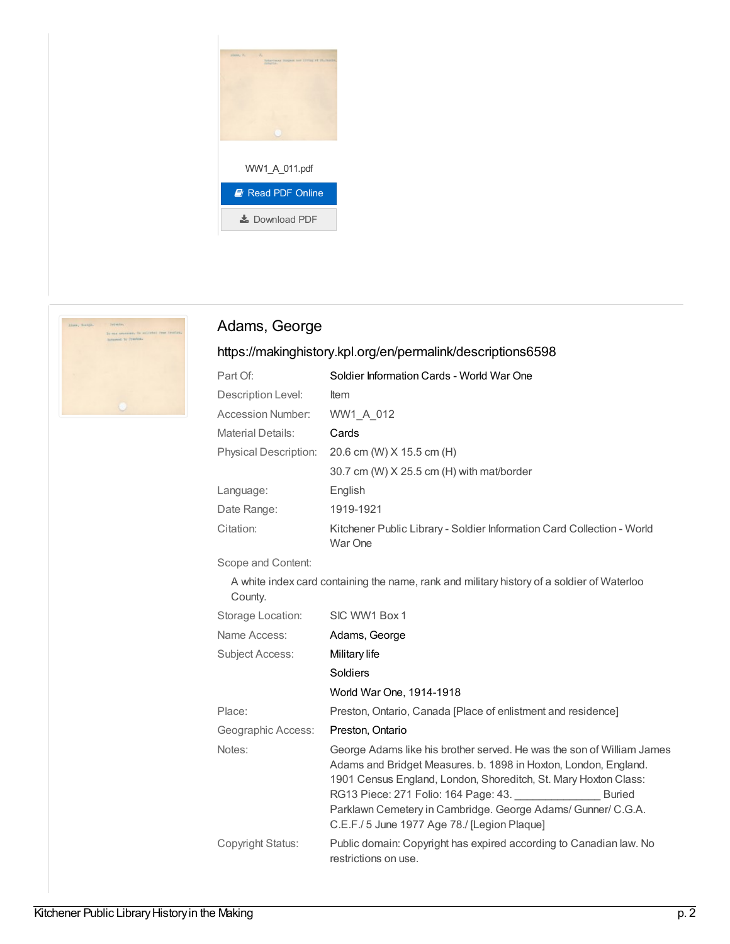



# Adams, George

| Part Of:                     | Soldier Information Cards - World War One                                                                                                                                                                                                                                                                                                                                            |
|------------------------------|--------------------------------------------------------------------------------------------------------------------------------------------------------------------------------------------------------------------------------------------------------------------------------------------------------------------------------------------------------------------------------------|
| Description Level:           | ltem                                                                                                                                                                                                                                                                                                                                                                                 |
| <b>Accession Number:</b>     | WW1_A_012                                                                                                                                                                                                                                                                                                                                                                            |
| <b>Material Details:</b>     | Cards                                                                                                                                                                                                                                                                                                                                                                                |
| <b>Physical Description:</b> | 20.6 cm (W) X 15.5 cm (H)                                                                                                                                                                                                                                                                                                                                                            |
|                              | 30.7 cm (W) X 25.5 cm (H) with mat/border                                                                                                                                                                                                                                                                                                                                            |
| Language:                    | English                                                                                                                                                                                                                                                                                                                                                                              |
| Date Range:                  | 1919-1921                                                                                                                                                                                                                                                                                                                                                                            |
| Citation:                    | Kitchener Public Library - Soldier Information Card Collection - World<br>War One                                                                                                                                                                                                                                                                                                    |
| Scope and Content:           |                                                                                                                                                                                                                                                                                                                                                                                      |
| County.                      | A white index card containing the name, rank and military history of a soldier of Waterloo                                                                                                                                                                                                                                                                                           |
| Storage Location:            | SIC WW1 Box 1                                                                                                                                                                                                                                                                                                                                                                        |
| Name Access:                 | Adams, George                                                                                                                                                                                                                                                                                                                                                                        |
| <b>Subject Access:</b>       | Military life                                                                                                                                                                                                                                                                                                                                                                        |
|                              | Soldiers                                                                                                                                                                                                                                                                                                                                                                             |
|                              | World War One, 1914-1918                                                                                                                                                                                                                                                                                                                                                             |
| Place:                       | Preston, Ontario, Canada [Place of enlistment and residence]                                                                                                                                                                                                                                                                                                                         |
| Geographic Access:           | Preston, Ontario                                                                                                                                                                                                                                                                                                                                                                     |
| Notes:                       | George Adams like his brother served. He was the son of William James<br>Adams and Bridget Measures. b. 1898 in Hoxton, London, England.<br>1901 Census England, London, Shoreditch, St. Mary Hoxton Class:<br>RG13 Piece: 271 Folio: 164 Page: 43.<br><b>Buried</b><br>Parklawn Cemetery in Cambridge. George Adams/ Gunner/ C.G.A.<br>C.E.F./ 5 June 1977 Age 78./ [Legion Plaque] |
| Copyright Status:            | Public domain: Copyright has expired according to Canadian law. No<br>restrictions on use.                                                                                                                                                                                                                                                                                           |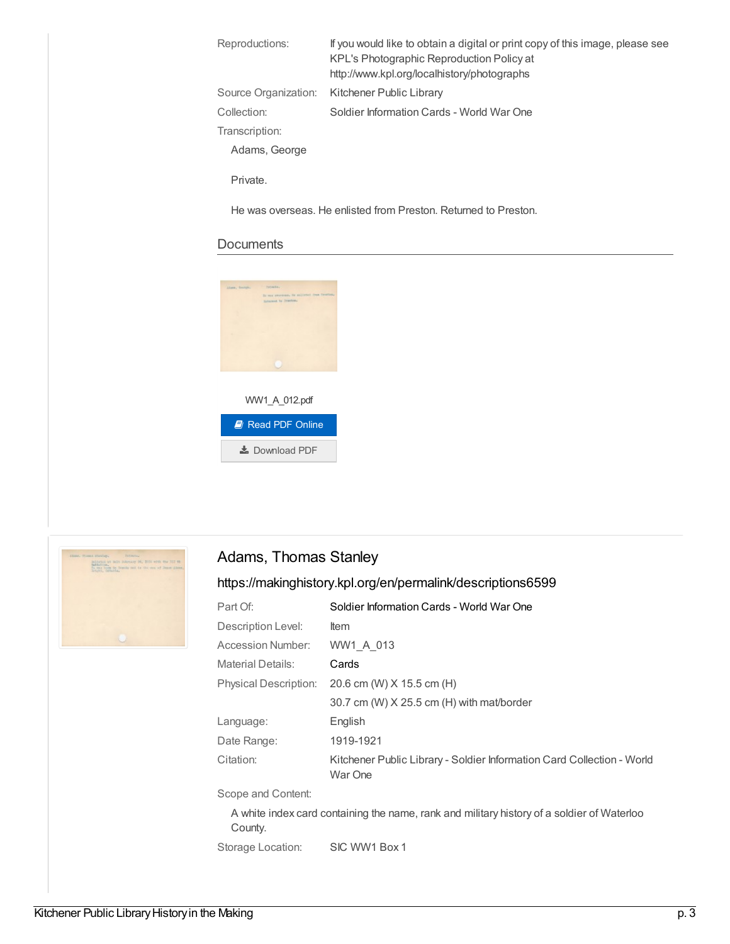| Reproductions:       | If you would like to obtain a digital or print copy of this image, please see<br>KPL's Photographic Reproduction Policy at<br>http://www.kpl.org/localhistory/photographs |
|----------------------|---------------------------------------------------------------------------------------------------------------------------------------------------------------------------|
| Source Organization: | Kitchener Public Library                                                                                                                                                  |
| Collection:          | Soldier Information Cards - World War One                                                                                                                                 |
| Transcription:       |                                                                                                                                                                           |
| Adams, George        |                                                                                                                                                                           |
|                      |                                                                                                                                                                           |

Private.

He was overseas. He enlisted from Preston. Returned to Preston.

#### **Documents**





## Adams, Thomas Stanley

| Part Of:                     | Soldier Information Cards - World War One                                                  |
|------------------------------|--------------------------------------------------------------------------------------------|
| Description Level:           | ltem                                                                                       |
| Accession Number:            | WW1 A 013                                                                                  |
| <b>Material Details:</b>     | Cards                                                                                      |
| <b>Physical Description:</b> | 20.6 cm (W) X 15.5 cm (H)                                                                  |
|                              | 30.7 cm (W) X 25.5 cm (H) with mat/border                                                  |
| Language:                    | English                                                                                    |
| Date Range:                  | 1919-1921                                                                                  |
| Citation:                    | Kitchener Public Library - Soldier Information Card Collection - World<br>War One          |
| Scope and Content:           |                                                                                            |
| County.                      | A white index card containing the name, rank and military history of a soldier of Waterloo |
| Storage Location:            | SIC WW1 Box 1                                                                              |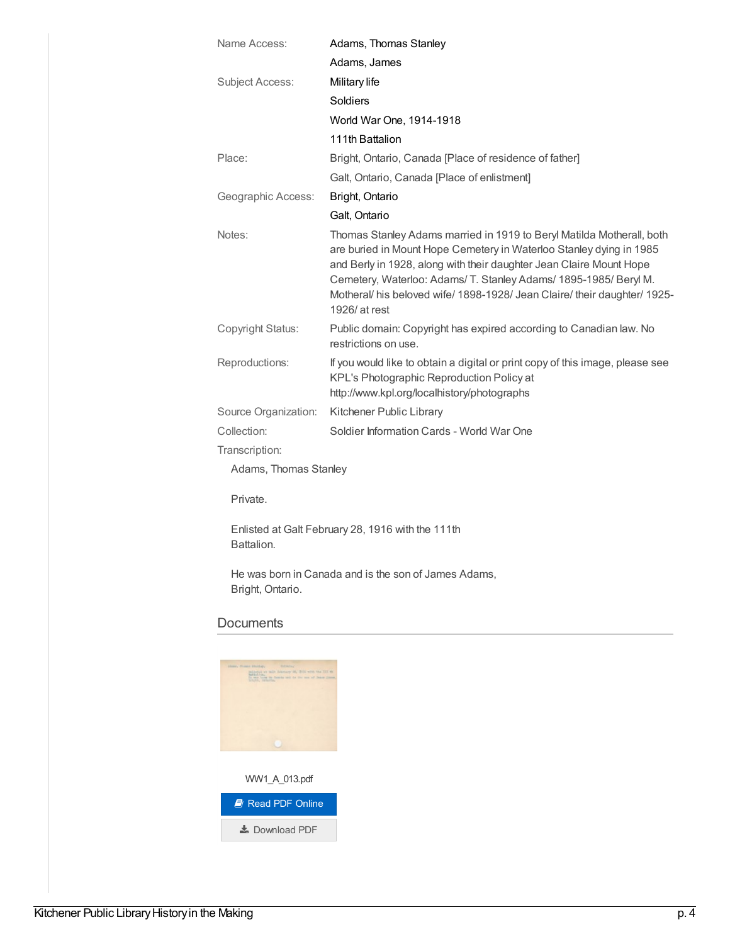| Name Access:             | Adams, Thomas Stanley                                                                                                                                                                                                                                                                                                                                                                 |
|--------------------------|---------------------------------------------------------------------------------------------------------------------------------------------------------------------------------------------------------------------------------------------------------------------------------------------------------------------------------------------------------------------------------------|
|                          | Adams, James                                                                                                                                                                                                                                                                                                                                                                          |
| <b>Subject Access:</b>   | Military life                                                                                                                                                                                                                                                                                                                                                                         |
|                          | Soldiers                                                                                                                                                                                                                                                                                                                                                                              |
|                          | World War One, 1914-1918                                                                                                                                                                                                                                                                                                                                                              |
|                          | 111th Battalion                                                                                                                                                                                                                                                                                                                                                                       |
| Place:                   | Bright, Ontario, Canada [Place of residence of father]                                                                                                                                                                                                                                                                                                                                |
|                          | Galt, Ontario, Canada [Place of enlistment]                                                                                                                                                                                                                                                                                                                                           |
| Geographic Access:       | Bright, Ontario                                                                                                                                                                                                                                                                                                                                                                       |
|                          | Galt, Ontario                                                                                                                                                                                                                                                                                                                                                                         |
| Notes:                   | Thomas Stanley Adams married in 1919 to Beryl Matilda Motherall, both<br>are buried in Mount Hope Cemetery in Waterloo Stanley dying in 1985<br>and Berly in 1928, along with their daughter Jean Claire Mount Hope<br>Cemetery, Waterloo: Adams/ T. Stanley Adams/ 1895-1985/ Beryl M.<br>Motheral/ his beloved wife/ 1898-1928/ Jean Claire/ their daughter/ 1925-<br>1926/ at rest |
| <b>Copyright Status:</b> | Public domain: Copyright has expired according to Canadian law. No<br>restrictions on use.                                                                                                                                                                                                                                                                                            |
| Reproductions:           | If you would like to obtain a digital or print copy of this image, please see<br>KPL's Photographic Reproduction Policy at<br>http://www.kpl.org/localhistory/photographs                                                                                                                                                                                                             |
| Source Organization:     | Kitchener Public Library                                                                                                                                                                                                                                                                                                                                                              |
| Collection:              | Soldier Information Cards - World War One                                                                                                                                                                                                                                                                                                                                             |
| Transcription:           |                                                                                                                                                                                                                                                                                                                                                                                       |
| Adams, Thomas Stanley    |                                                                                                                                                                                                                                                                                                                                                                                       |
| Private.                 |                                                                                                                                                                                                                                                                                                                                                                                       |

Enlisted at Galt February 28, 1916 with the 111th Battalion.

He was born in Canada and is the son of James Adams, Bright, Ontario.

| <b>Butmala,</b><br>Abone, Transac Abolian.                                                                                                                |
|-----------------------------------------------------------------------------------------------------------------------------------------------------------|
| milities at milt Schrony or, 2021 with the III.th<br><b>Ball Ltd. Tradice</b><br>To was born by flaming and to the men of Denis Lines.<br>brunn, cataria. |
|                                                                                                                                                           |
|                                                                                                                                                           |
|                                                                                                                                                           |
|                                                                                                                                                           |
|                                                                                                                                                           |
|                                                                                                                                                           |
|                                                                                                                                                           |
| WW1 A 013.pdf                                                                                                                                             |
|                                                                                                                                                           |
| <b>A</b> Read PDF Online                                                                                                                                  |
|                                                                                                                                                           |
| $\pm$ Download PDF                                                                                                                                        |
|                                                                                                                                                           |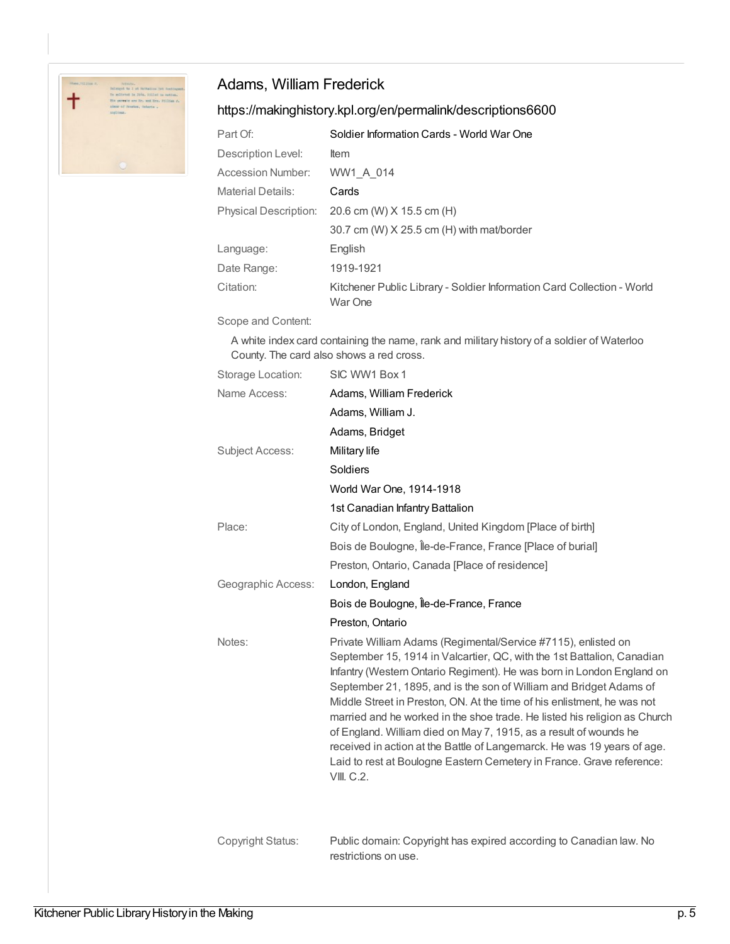

## Adams, William Frederick

## <https://makinghistory.kpl.org/en/permalink/descriptions6600>

| Part Of:                     | Soldier Information Cards - World War One                                         |
|------------------------------|-----------------------------------------------------------------------------------|
| Description Level:           | <b>Item</b>                                                                       |
| Accession Number:            | WW1 A 014                                                                         |
| Material Details:            | Cards                                                                             |
| <b>Physical Description:</b> | 20.6 cm (W) X 15.5 cm (H)                                                         |
|                              | 30.7 cm (W) X 25.5 cm (H) with mat/border                                         |
| Language:                    | English                                                                           |
| Date Range:                  | 1919-1921                                                                         |
| Citation:                    | Kitchener Public Library - Soldier Information Card Collection - World<br>War One |

Scope and Content:

A white index card containing the name, rank and military history of a soldier of Waterloo County. The card also shows a red cross.

| Storage Location:      | SIC WW1 Box 1                                                                                                                                                                                                                                                                                                                                                                                                                                                                                                                                                                                                                                                                         |
|------------------------|---------------------------------------------------------------------------------------------------------------------------------------------------------------------------------------------------------------------------------------------------------------------------------------------------------------------------------------------------------------------------------------------------------------------------------------------------------------------------------------------------------------------------------------------------------------------------------------------------------------------------------------------------------------------------------------|
| Name Access:           | Adams, William Frederick                                                                                                                                                                                                                                                                                                                                                                                                                                                                                                                                                                                                                                                              |
|                        | Adams, William J.                                                                                                                                                                                                                                                                                                                                                                                                                                                                                                                                                                                                                                                                     |
|                        | Adams, Bridget                                                                                                                                                                                                                                                                                                                                                                                                                                                                                                                                                                                                                                                                        |
| <b>Subject Access:</b> | Military life                                                                                                                                                                                                                                                                                                                                                                                                                                                                                                                                                                                                                                                                         |
|                        | Soldiers                                                                                                                                                                                                                                                                                                                                                                                                                                                                                                                                                                                                                                                                              |
|                        | World War One, 1914-1918                                                                                                                                                                                                                                                                                                                                                                                                                                                                                                                                                                                                                                                              |
|                        | 1st Canadian Infantry Battalion                                                                                                                                                                                                                                                                                                                                                                                                                                                                                                                                                                                                                                                       |
| Place:                 | City of London, England, United Kingdom [Place of birth]                                                                                                                                                                                                                                                                                                                                                                                                                                                                                                                                                                                                                              |
|                        | Bois de Boulogne, Île-de-France, France [Place of burial]                                                                                                                                                                                                                                                                                                                                                                                                                                                                                                                                                                                                                             |
|                        | Preston, Ontario, Canada [Place of residence]                                                                                                                                                                                                                                                                                                                                                                                                                                                                                                                                                                                                                                         |
| Geographic Access:     | London, England                                                                                                                                                                                                                                                                                                                                                                                                                                                                                                                                                                                                                                                                       |
|                        | Bois de Boulogne, Île-de-France, France                                                                                                                                                                                                                                                                                                                                                                                                                                                                                                                                                                                                                                               |
|                        | Preston, Ontario                                                                                                                                                                                                                                                                                                                                                                                                                                                                                                                                                                                                                                                                      |
| Notes:                 | Private William Adams (Regimental/Service #7115), enlisted on<br>September 15, 1914 in Valcartier, QC, with the 1st Battalion, Canadian<br>Infantry (Western Ontario Regiment). He was born in London England on<br>September 21, 1895, and is the son of William and Bridget Adams of<br>Middle Street in Preston, ON. At the time of his enlistment, he was not<br>married and he worked in the shoe trade. He listed his religion as Church<br>of England. William died on May 7, 1915, as a result of wounds he<br>received in action at the Battle of Langemarck. He was 19 years of age.<br>Laid to rest at Boulogne Eastern Cemetery in France. Grave reference:<br>VIII. C.2. |
| Copyright Status:      | Public domain: Copyright has expired according to Canadian law. No                                                                                                                                                                                                                                                                                                                                                                                                                                                                                                                                                                                                                    |

restrictions on use.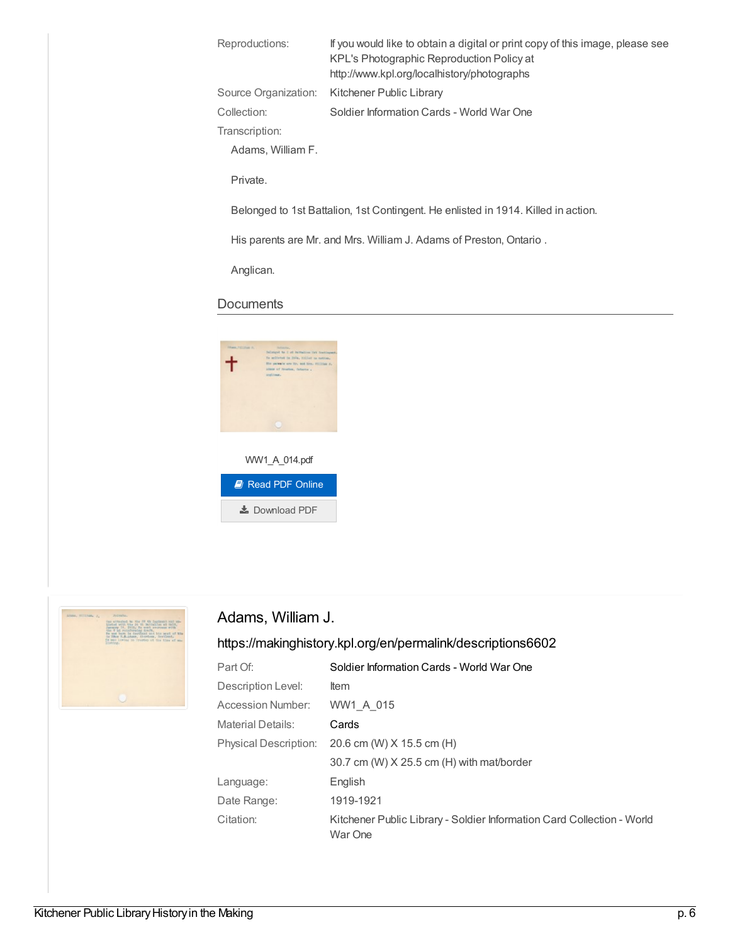| Reproductions:       | If you would like to obtain a digital or print copy of this image, please see<br>KPL's Photographic Reproduction Policy at<br>http://www.kpl.org/localhistory/photographs |
|----------------------|---------------------------------------------------------------------------------------------------------------------------------------------------------------------------|
| Source Organization: | Kitchener Public Library                                                                                                                                                  |
| Collection:          | Soldier Information Cards - World War One                                                                                                                                 |
| Transcription:       |                                                                                                                                                                           |
| Adams, William F.    |                                                                                                                                                                           |
| Private.             |                                                                                                                                                                           |
|                      | Belonged to 1st Battalion, 1st Contingent. He enlisted in 1914. Killed in action.                                                                                         |

His parents are Mr. and Mrs. William J. Adams of Preston, Ontario .

Anglican.

#### **Documents**





## Adams, William J.

| Part Of:                     | Soldier Information Cards - World War One                                         |
|------------------------------|-----------------------------------------------------------------------------------|
| Description Level:           | Item                                                                              |
| <b>Accession Number:</b>     | WW1 A 015                                                                         |
| Material Details:            | Cards                                                                             |
| <b>Physical Description:</b> | 20.6 cm (W) X 15.5 cm (H)                                                         |
|                              | 30.7 cm (W) $X$ 25.5 cm (H) with mat/border                                       |
| Language:                    | English                                                                           |
| Date Range:                  | 1919-1921                                                                         |
| Citation:                    | Kitchener Public Library - Soldier Information Card Collection - World<br>War One |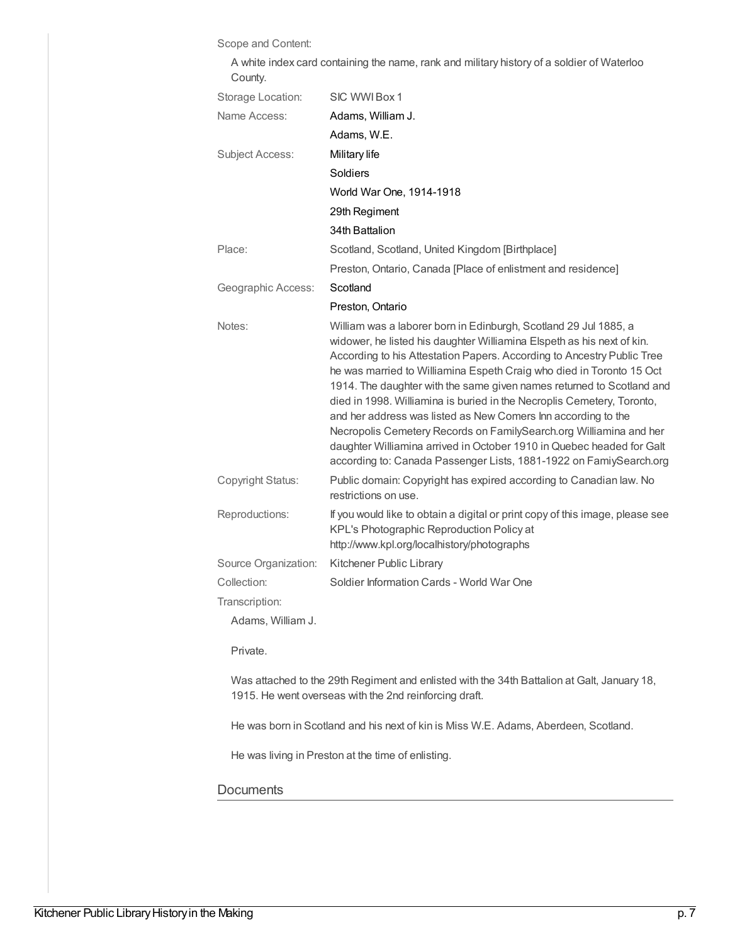Scope and Content:

| County.                |                                                                                                                                                                                                                                                                                                                                                                                                                                                                                                                                                                                                                                                                                                                                       |
|------------------------|---------------------------------------------------------------------------------------------------------------------------------------------------------------------------------------------------------------------------------------------------------------------------------------------------------------------------------------------------------------------------------------------------------------------------------------------------------------------------------------------------------------------------------------------------------------------------------------------------------------------------------------------------------------------------------------------------------------------------------------|
| Storage Location:      | SIC WWI Box 1                                                                                                                                                                                                                                                                                                                                                                                                                                                                                                                                                                                                                                                                                                                         |
| Name Access:           | Adams, William J.                                                                                                                                                                                                                                                                                                                                                                                                                                                                                                                                                                                                                                                                                                                     |
|                        | Adams, W.E.                                                                                                                                                                                                                                                                                                                                                                                                                                                                                                                                                                                                                                                                                                                           |
| <b>Subject Access:</b> | Military life                                                                                                                                                                                                                                                                                                                                                                                                                                                                                                                                                                                                                                                                                                                         |
|                        | Soldiers                                                                                                                                                                                                                                                                                                                                                                                                                                                                                                                                                                                                                                                                                                                              |
|                        | World War One, 1914-1918                                                                                                                                                                                                                                                                                                                                                                                                                                                                                                                                                                                                                                                                                                              |
|                        | 29th Regiment                                                                                                                                                                                                                                                                                                                                                                                                                                                                                                                                                                                                                                                                                                                         |
|                        | 34th Battalion                                                                                                                                                                                                                                                                                                                                                                                                                                                                                                                                                                                                                                                                                                                        |
| Place:                 | Scotland, Scotland, United Kingdom [Birthplace]                                                                                                                                                                                                                                                                                                                                                                                                                                                                                                                                                                                                                                                                                       |
|                        | Preston, Ontario, Canada [Place of enlistment and residence]                                                                                                                                                                                                                                                                                                                                                                                                                                                                                                                                                                                                                                                                          |
| Geographic Access:     | Scotland                                                                                                                                                                                                                                                                                                                                                                                                                                                                                                                                                                                                                                                                                                                              |
|                        | Preston, Ontario                                                                                                                                                                                                                                                                                                                                                                                                                                                                                                                                                                                                                                                                                                                      |
| Notes:                 | William was a laborer born in Edinburgh, Scotland 29 Jul 1885, a<br>widower, he listed his daughter Williamina Elspeth as his next of kin.<br>According to his Attestation Papers. According to Ancestry Public Tree<br>he was married to Williamina Espeth Craig who died in Toronto 15 Oct<br>1914. The daughter with the same given names returned to Scotland and<br>died in 1998. Williamina is buried in the Necroplis Cemetery, Toronto,<br>and her address was listed as New Comers Inn according to the<br>Necropolis Cemetery Records on FamilySearch.org Williamina and her<br>daughter Williamina arrived in October 1910 in Quebec headed for Galt<br>according to: Canada Passenger Lists, 1881-1922 on FamiySearch.org |
| Copyright Status:      | Public domain: Copyright has expired according to Canadian law. No<br>restrictions on use.                                                                                                                                                                                                                                                                                                                                                                                                                                                                                                                                                                                                                                            |
| Reproductions:         | If you would like to obtain a digital or print copy of this image, please see<br>KPL's Photographic Reproduction Policy at<br>http://www.kpl.org/localhistory/photographs                                                                                                                                                                                                                                                                                                                                                                                                                                                                                                                                                             |
| Source Organization:   | Kitchener Public Library                                                                                                                                                                                                                                                                                                                                                                                                                                                                                                                                                                                                                                                                                                              |
| Collection:            | Soldier Information Cards - World War One                                                                                                                                                                                                                                                                                                                                                                                                                                                                                                                                                                                                                                                                                             |
| Transcription:         |                                                                                                                                                                                                                                                                                                                                                                                                                                                                                                                                                                                                                                                                                                                                       |
| Adams, William J.      |                                                                                                                                                                                                                                                                                                                                                                                                                                                                                                                                                                                                                                                                                                                                       |
| Private.               |                                                                                                                                                                                                                                                                                                                                                                                                                                                                                                                                                                                                                                                                                                                                       |
|                        | Was attached to the 29th Regiment and enlisted with the 34th Battalion at Galt, January 18,                                                                                                                                                                                                                                                                                                                                                                                                                                                                                                                                                                                                                                           |

A white index card containing the name, rank and military history of a soldier of Waterloo

He was born in Scotland and his next of kin is Miss W.E. Adams, Aberdeen, Scotland.

He was living in Preston at the time of enlisting.

1915. He went overseas with the 2nd reinforcing draft.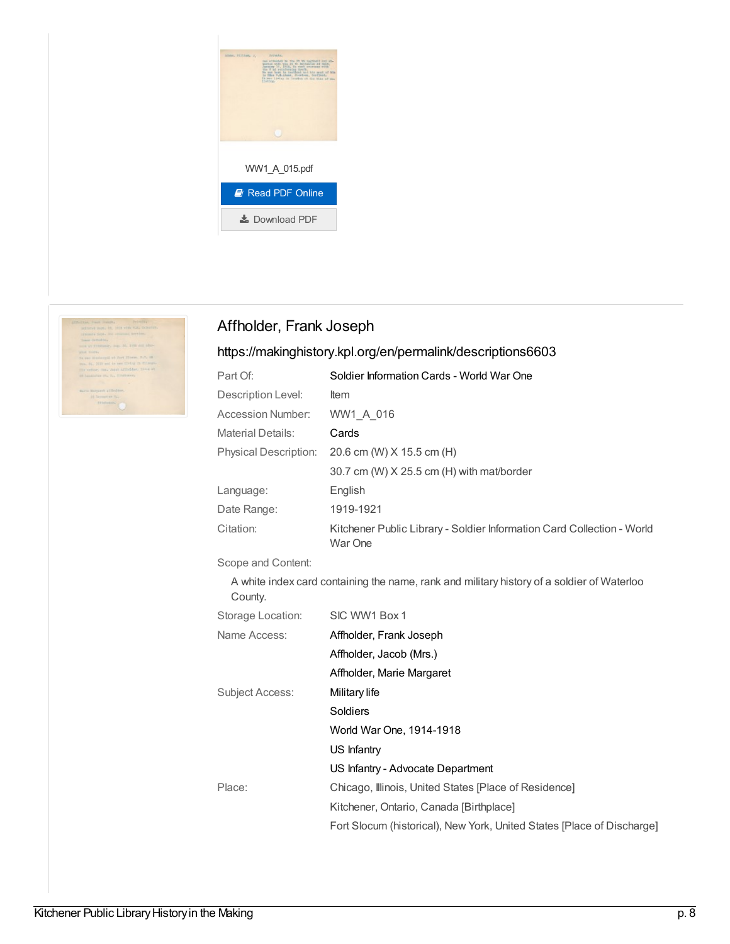



## Affholder, Frank Joseph

| Part Of:                     | Soldier Information Cards - World War One                                                  |
|------------------------------|--------------------------------------------------------------------------------------------|
| Description Level:           | <b>Item</b>                                                                                |
| <b>Accession Number:</b>     | WW1_A_016                                                                                  |
| <b>Material Details:</b>     | Cards                                                                                      |
| <b>Physical Description:</b> | 20.6 cm (W) X 15.5 cm (H)                                                                  |
|                              | 30.7 cm (W) X 25.5 cm (H) with mat/border                                                  |
| Language:                    | English                                                                                    |
| Date Range:                  | 1919-1921                                                                                  |
| Citation:                    | Kitchener Public Library - Soldier Information Card Collection - World<br>War One          |
| Scope and Content:           |                                                                                            |
| County.                      | A white index card containing the name, rank and military history of a soldier of Waterloo |
| Storage Location:            | SIC WW1 Box 1                                                                              |
| Name Access:                 | Affholder, Frank Joseph                                                                    |
|                              | Affholder, Jacob (Mrs.)                                                                    |
|                              | Affholder, Marie Margaret                                                                  |
| <b>Subject Access:</b>       | Military life                                                                              |
|                              | Soldiers                                                                                   |
|                              | World War One, 1914-1918                                                                   |
|                              | US Infantry                                                                                |
|                              | US Infantry - Advocate Department                                                          |
| Place:                       | Chicago, Illinois, United States [Place of Residence]                                      |
|                              | Kitchener, Ontario, Canada [Birthplace]                                                    |
|                              | Fort Slocum (historical), New York, United States [Place of Discharge]                     |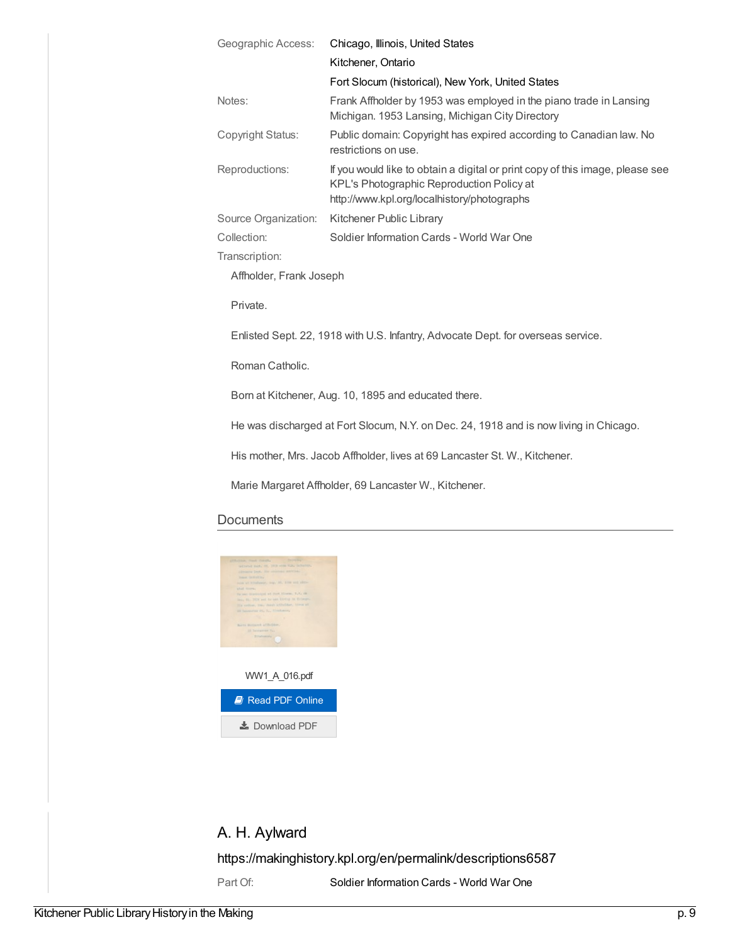| Geographic Access:                                                                    | Chicago, Illinois, United States                                                                                                                                          |  |
|---------------------------------------------------------------------------------------|---------------------------------------------------------------------------------------------------------------------------------------------------------------------------|--|
|                                                                                       | Kitchener, Ontario                                                                                                                                                        |  |
|                                                                                       | Fort Slocum (historical), New York, United States                                                                                                                         |  |
| Notes:                                                                                | Frank Affholder by 1953 was employed in the piano trade in Lansing<br>Michigan. 1953 Lansing, Michigan City Directory                                                     |  |
| Copyright Status:                                                                     | Public domain: Copyright has expired according to Canadian law. No<br>restrictions on use.                                                                                |  |
| Reproductions:                                                                        | If you would like to obtain a digital or print copy of this image, please see<br>KPL's Photographic Reproduction Policy at<br>http://www.kpl.org/localhistory/photographs |  |
| Source Organization:                                                                  | Kitchener Public Library                                                                                                                                                  |  |
| Collection:                                                                           | Soldier Information Cards - World War One                                                                                                                                 |  |
| Transcription:                                                                        |                                                                                                                                                                           |  |
| Affholder, Frank Joseph                                                               |                                                                                                                                                                           |  |
| Private.                                                                              |                                                                                                                                                                           |  |
| Enlisted Sept. 22, 1918 with U.S. Infantry, Advocate Dept. for overseas service.      |                                                                                                                                                                           |  |
| Roman Catholic.                                                                       |                                                                                                                                                                           |  |
| Born at Kitchener, Aug. 10, 1895 and educated there.                                  |                                                                                                                                                                           |  |
| He was discharged at Fort Slocum, N.Y. on Dec. 24, 1918 and is now living in Chicago. |                                                                                                                                                                           |  |
| His mother, Mrs. Jacob Affholder, lives at 69 Lancaster St. W., Kitchener.            |                                                                                                                                                                           |  |

Marie Margaret Affholder, 69 Lancaster W., Kitchener.

#### **Documents**



# A. H. Aylward

<https://makinghistory.kpl.org/en/permalink/descriptions6587>

Part Of: Soldier [Information](https://makinghistory.kpl.org/en/list?q=setName%253a%2522Soldier+Information+Cards+-+World+War+One%2522&p=1&ps=&sort=title_sort+asc) Cards - World War One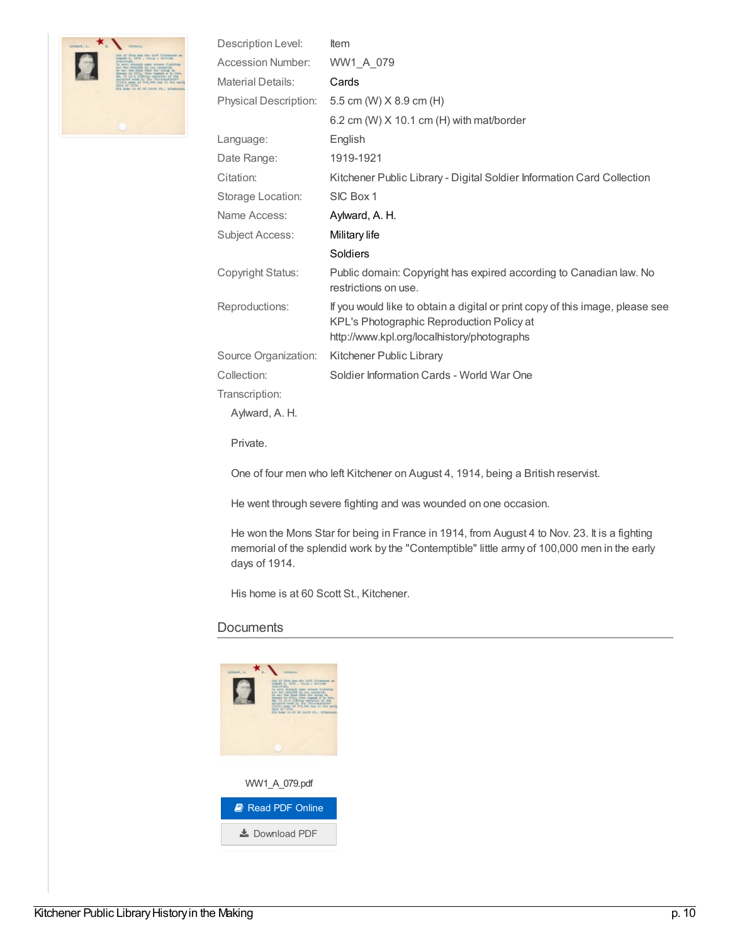

| Description Level:       | Item                                                                                                                                                                      |
|--------------------------|---------------------------------------------------------------------------------------------------------------------------------------------------------------------------|
| <b>Accession Number:</b> | WW1_A_079                                                                                                                                                                 |
| <b>Material Details:</b> | Cards                                                                                                                                                                     |
| Physical Description:    | 5.5 cm (W) X 8.9 cm (H)                                                                                                                                                   |
|                          | 6.2 cm (W) $X$ 10.1 cm (H) with mat/border                                                                                                                                |
| Language:                | English                                                                                                                                                                   |
| Date Range:              | 1919-1921                                                                                                                                                                 |
| Citation:                | Kitchener Public Library - Digital Soldier Information Card Collection                                                                                                    |
| Storage Location:        | SIC Box 1                                                                                                                                                                 |
| Name Access:             | Aylward, A. H.                                                                                                                                                            |
| <b>Subject Access:</b>   | Military life                                                                                                                                                             |
|                          | Soldiers                                                                                                                                                                  |
| Copyright Status:        | Public domain: Copyright has expired according to Canadian law. No<br>restrictions on use.                                                                                |
| Reproductions:           | If you would like to obtain a digital or print copy of this image, please see<br>KPL's Photographic Reproduction Policy at<br>http://www.kpl.org/localhistory/photographs |
| Source Organization:     | Kitchener Public Library                                                                                                                                                  |
| Collection:              | Soldier Information Cards - World War One                                                                                                                                 |
| Transcription:           |                                                                                                                                                                           |
| Aylward, A. H.           |                                                                                                                                                                           |
| Private.                 |                                                                                                                                                                           |
|                          | One of four menuring $A$ Kitchener on August 4, 1014, being a Dritich resembet                                                                                            |

One of four men who left Kitchener on August 4, 1914, being a British reservist.

He went through severe fighting and was wounded on one occasion.

He won the Mons Star for being in France in 1914, from August 4 to Nov. 23. It is a fighting memorial of the splendid work by the "Contemptible" little army of 100,000 men in the early days of 1914.

His home is at 60 Scott St., Kitchener.

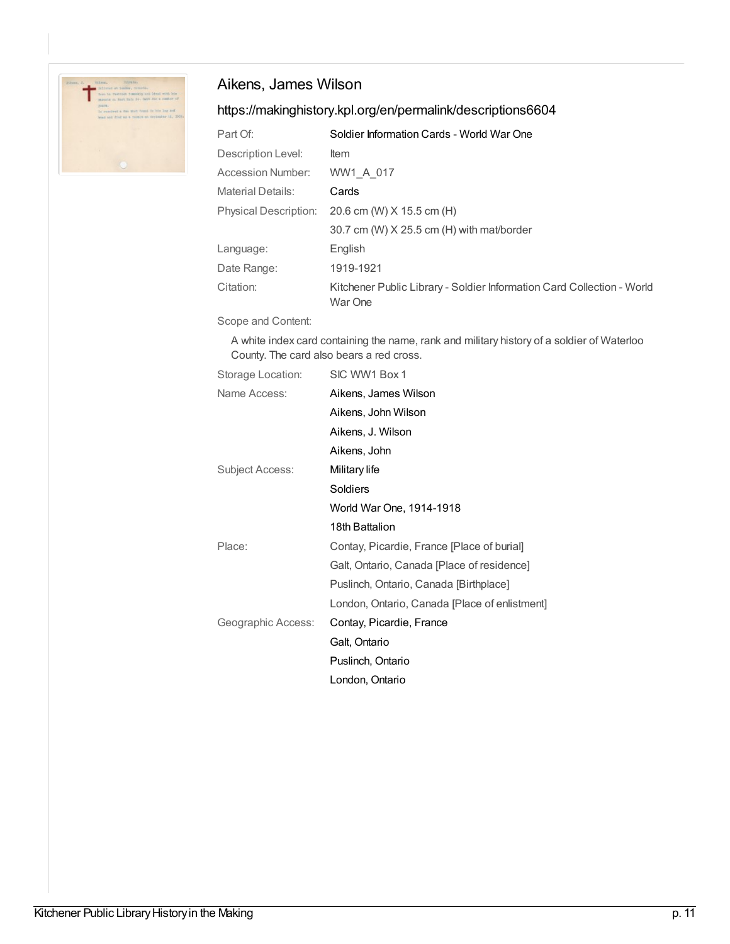

## Aikens, James Wilson

## <https://makinghistory.kpl.org/en/permalink/descriptions6604>

| Part Of:              | Soldier Information Cards - World War One                                         |
|-----------------------|-----------------------------------------------------------------------------------|
| Description Level:    | <b>Item</b>                                                                       |
| Accession Number:     | WW1 A 017                                                                         |
| Material Details:     | Cards                                                                             |
| Physical Description: | 20.6 cm (W) X 15.5 cm (H)                                                         |
|                       | 30.7 cm (W) X 25.5 cm (H) with mat/border                                         |
| Language:             | English                                                                           |
| Date Range:           | 1919-1921                                                                         |
| Citation:             | Kitchener Public Library - Soldier Information Card Collection - World<br>War One |

Scope and Content:

A white index card containing the name, rank and military history of a soldier of Waterloo County. The card also bears a red cross.

| Storage Location:  | SIC WW1 Box 1                                 |
|--------------------|-----------------------------------------------|
| Name Access:       | Aikens, James Wilson                          |
|                    | Aikens, John Wilson                           |
|                    | Aikens, J. Wilson                             |
|                    | Aikens, John                                  |
| Subject Access:    | Military life                                 |
|                    | <b>Soldiers</b>                               |
|                    | World War One, 1914-1918                      |
|                    | 18th Battalion                                |
| Place:             | Contay, Picardie, France [Place of burial]    |
|                    | Galt, Ontario, Canada [Place of residence]    |
|                    | Puslinch, Ontario, Canada [Birthplace]        |
|                    | London, Ontario, Canada [Place of enlistment] |
| Geographic Access: | Contay, Picardie, France                      |
|                    | Galt, Ontario                                 |
|                    | Puslinch, Ontario                             |
|                    | London, Ontario                               |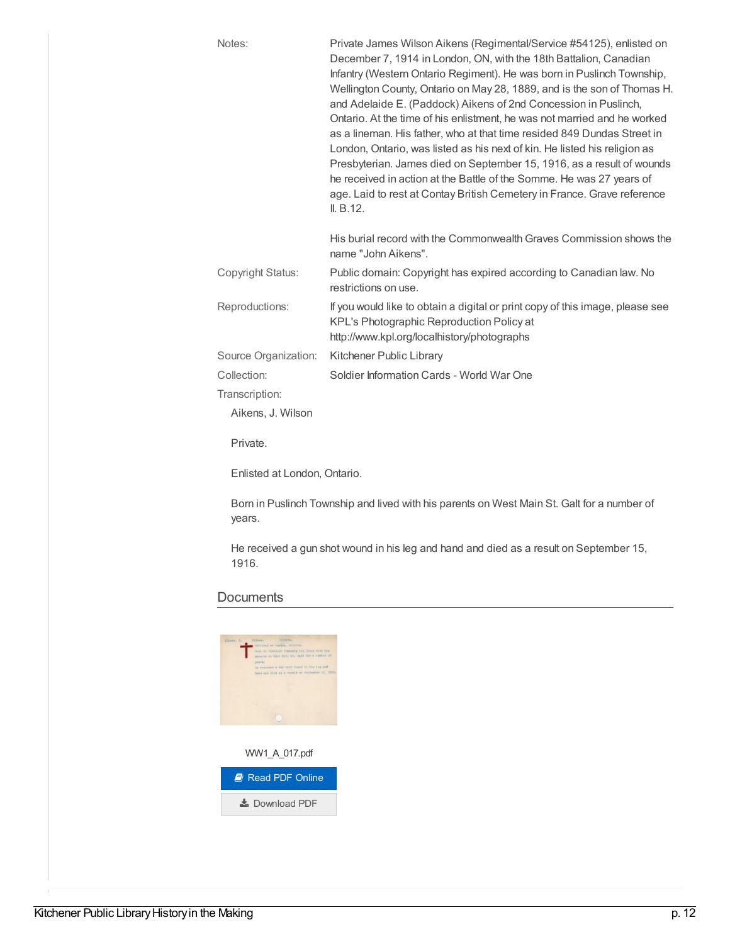| Notes:                                                                                  | Private James Wilson Aikens (Regimental/Service #54125), enlisted on<br>December 7, 1914 in London, ON, with the 18th Battalion, Canadian<br>Infantry (Western Ontario Regiment). He was born in Puslinch Township,<br>Wellington County, Ontario on May 28, 1889, and is the son of Thomas H.<br>and Adelaide E. (Paddock) Aikens of 2nd Concession in Puslinch,<br>Ontario. At the time of his enlistment, he was not married and he worked<br>as a lineman. His father, who at that time resided 849 Dundas Street in<br>London, Ontario, was listed as his next of kin. He listed his religion as<br>Presbyterian. James died on September 15, 1916, as a result of wounds<br>he received in action at the Battle of the Somme. He was 27 years of<br>age. Laid to rest at Contay British Cemetery in France. Grave reference<br>II. B.12. |
|-----------------------------------------------------------------------------------------|------------------------------------------------------------------------------------------------------------------------------------------------------------------------------------------------------------------------------------------------------------------------------------------------------------------------------------------------------------------------------------------------------------------------------------------------------------------------------------------------------------------------------------------------------------------------------------------------------------------------------------------------------------------------------------------------------------------------------------------------------------------------------------------------------------------------------------------------|
|                                                                                         | His burial record with the Commonwealth Graves Commission shows the<br>name "John Aikens".                                                                                                                                                                                                                                                                                                                                                                                                                                                                                                                                                                                                                                                                                                                                                     |
| Copyright Status:                                                                       | Public domain: Copyright has expired according to Canadian law. No<br>restrictions on use.                                                                                                                                                                                                                                                                                                                                                                                                                                                                                                                                                                                                                                                                                                                                                     |
| Reproductions:                                                                          | If you would like to obtain a digital or print copy of this image, please see<br>KPL's Photographic Reproduction Policy at<br>http://www.kpl.org/localhistory/photographs                                                                                                                                                                                                                                                                                                                                                                                                                                                                                                                                                                                                                                                                      |
| Source Organization:                                                                    | Kitchener Public Library                                                                                                                                                                                                                                                                                                                                                                                                                                                                                                                                                                                                                                                                                                                                                                                                                       |
| Collection:                                                                             | Soldier Information Cards - World War One                                                                                                                                                                                                                                                                                                                                                                                                                                                                                                                                                                                                                                                                                                                                                                                                      |
| Transcription:                                                                          |                                                                                                                                                                                                                                                                                                                                                                                                                                                                                                                                                                                                                                                                                                                                                                                                                                                |
| Aikens, J. Wilson                                                                       |                                                                                                                                                                                                                                                                                                                                                                                                                                                                                                                                                                                                                                                                                                                                                                                                                                                |
| Private.                                                                                |                                                                                                                                                                                                                                                                                                                                                                                                                                                                                                                                                                                                                                                                                                                                                                                                                                                |
| Enlisted at London, Ontario.                                                            |                                                                                                                                                                                                                                                                                                                                                                                                                                                                                                                                                                                                                                                                                                                                                                                                                                                |
| Rem in Puclipch Township and lived with his parents on West Main St. Californ pumber of |                                                                                                                                                                                                                                                                                                                                                                                                                                                                                                                                                                                                                                                                                                                                                                                                                                                |

Born in Puslinch Township and lived with his parents on West Main St. Galt for a number of years.

He received a gun shot wound in his leg and hand and died as a result on September 15, 1916.

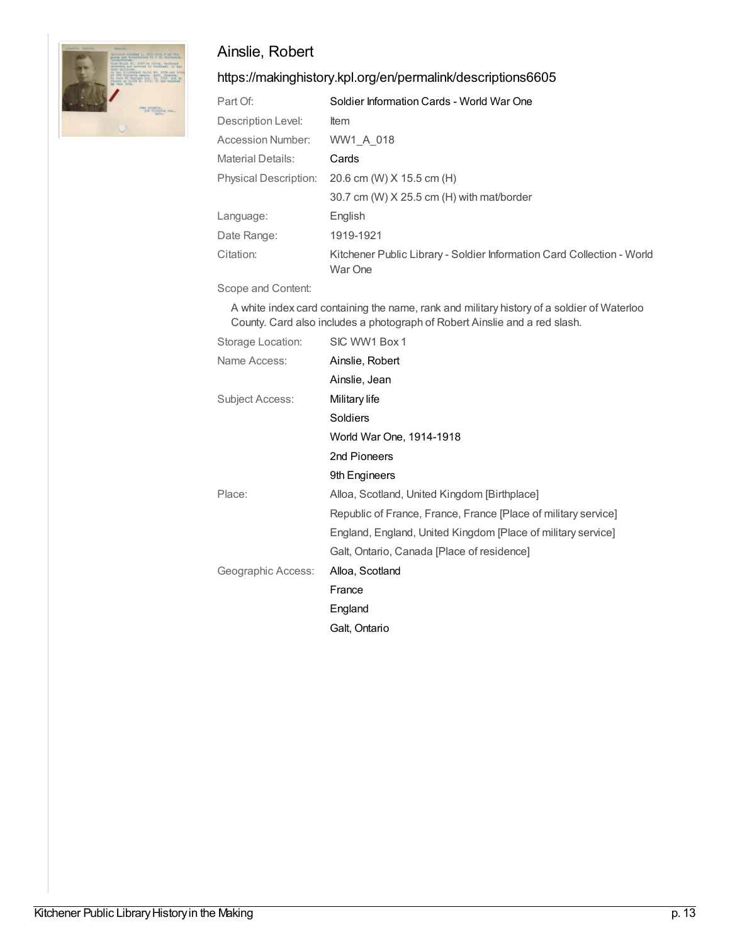

## Ainslie, Robert

#### <https://makinghistory.kpl.org/en/permalink/descriptions6605>

| Part Of:                     | Soldier Information Cards - World War One                                         |
|------------------------------|-----------------------------------------------------------------------------------|
| Description Level:           | <b>Item</b>                                                                       |
| Accession Number:            | WW1 A 018                                                                         |
| <b>Material Details:</b>     | Cards                                                                             |
| <b>Physical Description:</b> | 20.6 cm (W) X 15.5 cm (H)                                                         |
|                              | 30.7 cm (W) X 25.5 cm (H) with mat/border                                         |
| Language:                    | English                                                                           |
| Date Range:                  | 1919-1921                                                                         |
| Citation:                    | Kitchener Public Library - Soldier Information Card Collection - World<br>War One |

Scope and Content:

A white index card containing the name, rank and military history of a soldier of Waterloo County. Card also includes a photograph of Robert Ainslie and a red slash.

| Storage Location:  | SIC WW1 Box 1                                                  |
|--------------------|----------------------------------------------------------------|
| Name Access:       | Ainslie, Robert                                                |
|                    | Ainslie, Jean                                                  |
| Subject Access:    | Military life                                                  |
|                    | <b>Soldiers</b>                                                |
|                    | World War One, 1914-1918                                       |
|                    | 2nd Pioneers                                                   |
|                    | 9th Engineers                                                  |
| Place:             | Alloa, Scotland, United Kingdom [Birthplace]                   |
|                    | Republic of France, France, France [Place of military service] |
|                    | England, England, United Kingdom [Place of military service]   |
|                    | Galt, Ontario, Canada [Place of residence]                     |
| Geographic Access: | Alloa, Scotland                                                |
|                    | France                                                         |
|                    | England                                                        |
|                    | Galt, Ontario                                                  |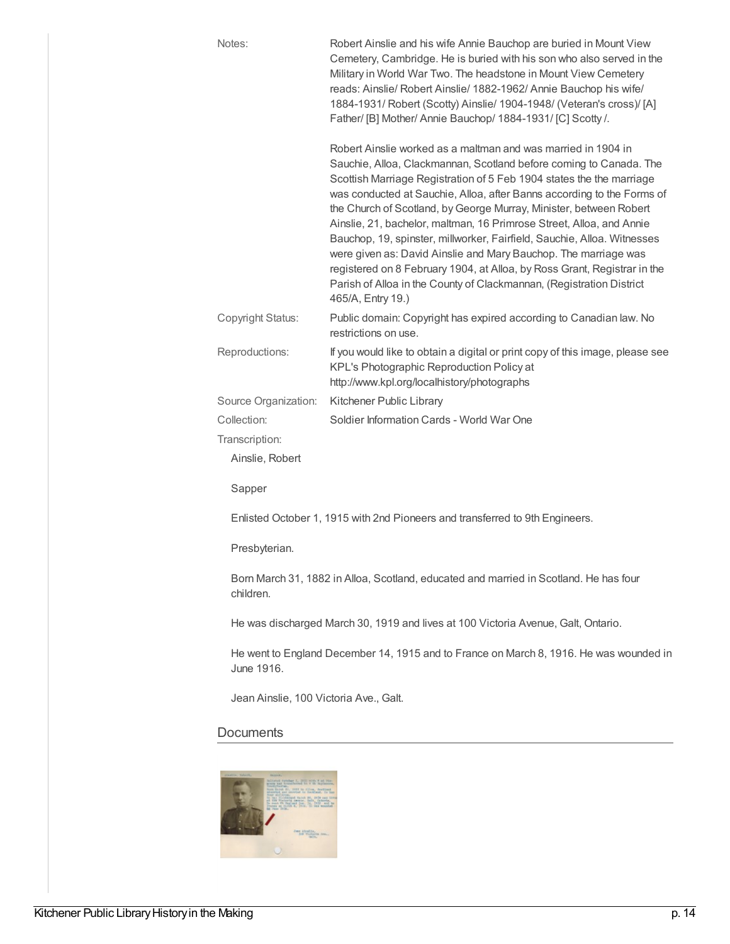| Notes:               | Robert Ainslie and his wife Annie Bauchop are buried in Mount View<br>Cemetery, Cambridge. He is buried with his son who also served in the<br>Military in World War Two. The headstone in Mount View Cemetery<br>reads: Ainslie/ Robert Ainslie/ 1882-1962/ Annie Bauchop his wife/<br>1884-1931/ Robert (Scotty) Ainslie/ 1904-1948/ (Veteran's cross)/ [A]<br>Father/ [B] Mother/ Annie Bauchop/ 1884-1931/ [C] Scotty /.                                                                                                                                                                                                                                                                                                                               |
|----------------------|------------------------------------------------------------------------------------------------------------------------------------------------------------------------------------------------------------------------------------------------------------------------------------------------------------------------------------------------------------------------------------------------------------------------------------------------------------------------------------------------------------------------------------------------------------------------------------------------------------------------------------------------------------------------------------------------------------------------------------------------------------|
|                      | Robert Ainslie worked as a maltman and was married in 1904 in<br>Sauchie, Alloa, Clackmannan, Scotland before coming to Canada. The<br>Scottish Marriage Registration of 5 Feb 1904 states the the marriage<br>was conducted at Sauchie, Alloa, after Banns according to the Forms of<br>the Church of Scotland, by George Murray, Minister, between Robert<br>Ainslie, 21, bachelor, maltman, 16 Primrose Street, Alloa, and Annie<br>Bauchop, 19, spinster, millworker, Fairfield, Sauchie, Alloa. Witnesses<br>were given as: David Ainslie and Mary Bauchop. The marriage was<br>registered on 8 February 1904, at Alloa, by Ross Grant, Registrar in the<br>Parish of Alloa in the County of Clackmannan, (Registration District<br>465/A, Entry 19.) |
| Copyright Status:    | Public domain: Copyright has expired according to Canadian law. No<br>restrictions on use.                                                                                                                                                                                                                                                                                                                                                                                                                                                                                                                                                                                                                                                                 |
| Reproductions:       | If you would like to obtain a digital or print copy of this image, please see<br>KPL's Photographic Reproduction Policy at<br>http://www.kpl.org/localhistory/photographs                                                                                                                                                                                                                                                                                                                                                                                                                                                                                                                                                                                  |
| Source Organization: | Kitchener Public Library                                                                                                                                                                                                                                                                                                                                                                                                                                                                                                                                                                                                                                                                                                                                   |
| Collection:          | Soldier Information Cards - World War One                                                                                                                                                                                                                                                                                                                                                                                                                                                                                                                                                                                                                                                                                                                  |
| Transcription:       |                                                                                                                                                                                                                                                                                                                                                                                                                                                                                                                                                                                                                                                                                                                                                            |
| Ainslie, Robert      |                                                                                                                                                                                                                                                                                                                                                                                                                                                                                                                                                                                                                                                                                                                                                            |
| Sapper               |                                                                                                                                                                                                                                                                                                                                                                                                                                                                                                                                                                                                                                                                                                                                                            |

Enlisted October 1, 1915 with 2nd Pioneers and transferred to 9th Engineers.

Presbyterian.

Born March 31, 1882 in Alloa, Scotland, educated and married in Scotland. He has four children.

He was discharged March 30, 1919 and lives at 100 Victoria Avenue, Galt, Ontario.

He went to England December 14, 1915 and to France on March 8, 1916. He was wounded in June 1916.

Jean Ainslie, 100 Victoria Ave., Galt.

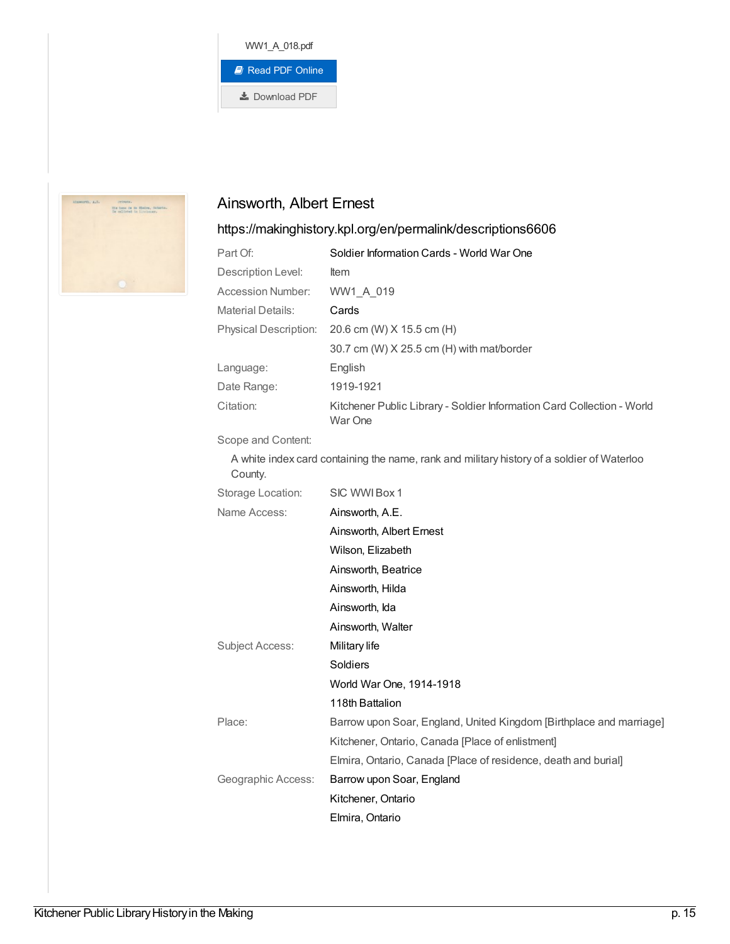



## Ainsworth, Albert Ernest

#### <https://makinghistory.kpl.org/en/permalink/descriptions6606>

| Part Of:                     | Soldier Information Cards - World War One                                         |
|------------------------------|-----------------------------------------------------------------------------------|
| Description Level:           | <b>Item</b>                                                                       |
| Accession Number:            | WW1 A 019                                                                         |
| Material Details:            | Cards                                                                             |
| <b>Physical Description:</b> | 20.6 cm (W) X 15.5 cm (H)                                                         |
|                              | 30.7 cm (W) X 25.5 cm (H) with mat/border                                         |
| Language:                    | English                                                                           |
| Date Range:                  | 1919-1921                                                                         |
| Citation:                    | Kitchener Public Library - Soldier Information Card Collection - World<br>War One |

#### Scope and Content:

A white index card containing the name, rank and military history of a soldier of Waterloo County.

| Storage Location:  | SIC WWI Box 1                                                       |
|--------------------|---------------------------------------------------------------------|
| Name Access:       | Ainsworth, A.E.                                                     |
|                    | Ainsworth, Albert Ernest                                            |
|                    | Wilson, Elizabeth                                                   |
|                    | Ainsworth, Beatrice                                                 |
|                    | Ainsworth, Hilda                                                    |
|                    | Ainsworth, Ida                                                      |
|                    | Ainsworth, Walter                                                   |
| Subject Access:    | Military life                                                       |
|                    | Soldiers                                                            |
|                    | World War One, 1914-1918                                            |
|                    | 118th Battalion                                                     |
| Place:             | Barrow upon Soar, England, United Kingdom [Birthplace and marriage] |
|                    | Kitchener, Ontario, Canada [Place of enlistment]                    |
|                    | Elmira, Ontario, Canada [Place of residence, death and burial]      |
| Geographic Access: | Barrow upon Soar, England                                           |
|                    | Kitchener, Ontario                                                  |
|                    | Elmira, Ontario                                                     |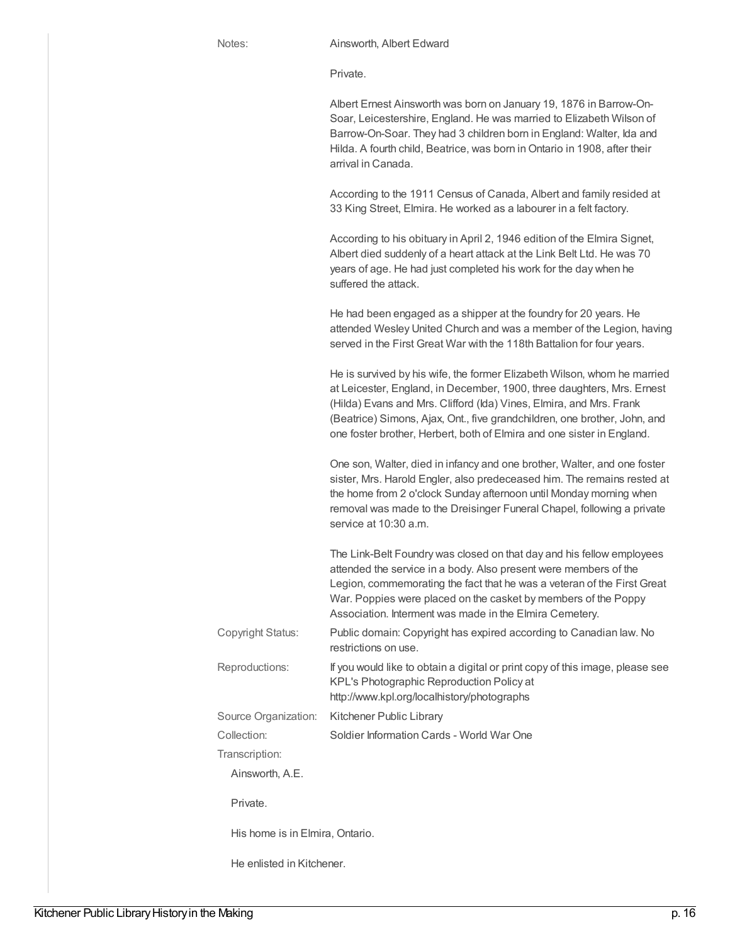Private.

Albert Ernest Ainsworth was born on January 19, 1876 in Barrow-On-Soar, Leicestershire, England. He was married to Elizabeth Wilson of Barrow-On-Soar. They had 3 children born in England: Walter, Ida and Hilda. A fourth child, Beatrice, was born in Ontario in 1908, after their arrival in Canada.

According to the 1911 Census of Canada, Albert and family resided at 33 King Street, Elmira. He worked as a labourer in a felt factory.

According to his obituary in April 2, 1946 edition of the Elmira Signet, Albert died suddenly of a heart attack at the Link Belt Ltd. He was 70 years of age. He had just completed his work for the day when he suffered the attack. He had been engaged as a shipper at the foundry for 20 years. He attended Wesley United Church and was a member of the Legion, having served in the First Great War with the 118th Battalion for four years. He is survived by his wife, the former Elizabeth Wilson, whom he married at Leicester, England, in December, 1900, three daughters, Mrs. Ernest (Hilda) Evans and Mrs. Clifford (Ida) Vines, Elmira, and Mrs. Frank (Beatrice) Simons, Ajax, Ont., five grandchildren, one brother, John, and one foster brother, Herbert, both of Elmira and one sister in England. One son, Walter, died in infancy and one brother, Walter, and one foster sister, Mrs. Harold Engler, also predeceased him. The remains rested at the home from 2 o'clock Sunday afternoon until Monday morning when removal was made to the Dreisinger Funeral Chapel, following a private service at 10:30 a.m. The Link-Belt Foundry was closed on that day and his fellow employees attended the service in a body. Also present were members of the Legion, commemorating the fact that he was a veteran of the First Great War. Poppies were placed on the casket by members of the Poppy Association. Interment was made in the Elmira Cemetery. Copyright Status: Public domain: Copyright has expired according to Canadian law. No restrictions on use. Reproductions: If you would like to obtain a digital or print copy of this image, please see KPL's Photographic Reproduction Policy at http://www.kpl.org/localhistory/photographs Source Organization: Kitchener Public Library Collection: Soldier Information Cards - World War One Transcription: Ainsworth, A.E. Private. His home is in Elmira, Ontario. He enlisted in Kitchener.